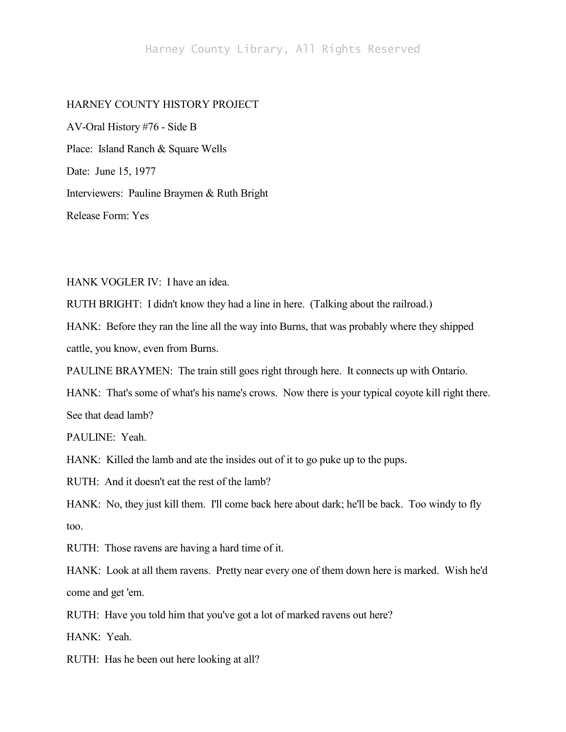## HARNEY COUNTY HISTORY PROJECT

AV-Oral History #76 - Side B Place: Island Ranch & Square Wells Date: June 15, 1977 Interviewers: Pauline Braymen & Ruth Bright Release Form: Yes

HANK VOGLER IV: I have an idea.

RUTH BRIGHT: I didn't know they had a line in here. (Talking about the railroad.)

HANK: Before they ran the line all the way into Burns, that was probably where they shipped cattle, you know, even from Burns.

PAULINE BRAYMEN: The train still goes right through here. It connects up with Ontario.

HANK: That's some of what's his name's crows. Now there is your typical coyote kill right there.

See that dead lamb?

PAULINE: Yeah.

HANK: Killed the lamb and ate the insides out of it to go puke up to the pups.

RUTH: And it doesn't eat the rest of the lamb?

HANK: No, they just kill them. I'll come back here about dark; he'll be back. Too windy to fly too.

RUTH: Those ravens are having a hard time of it.

HANK: Look at all them ravens. Pretty near every one of them down here is marked. Wish he'd come and get 'em.

RUTH: Have you told him that you've got a lot of marked ravens out here?

HANK: Yeah.

RUTH: Has he been out here looking at all?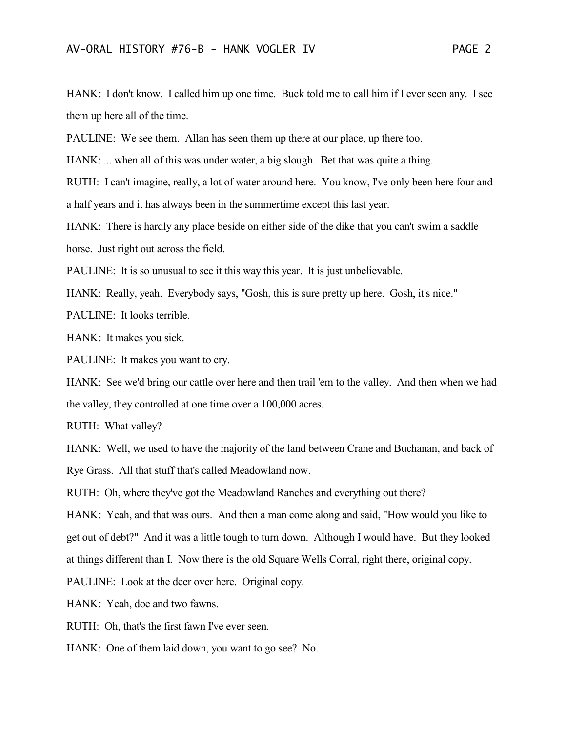HANK: I don't know. I called him up one time. Buck told me to call him if I ever seen any. I see them up here all of the time.

PAULINE: We see them. Allan has seen them up there at our place, up there too.

HANK: ... when all of this was under water, a big slough. Bet that was quite a thing.

RUTH: I can't imagine, really, a lot of water around here. You know, I've only been here four and a half years and it has always been in the summertime except this last year.

HANK: There is hardly any place beside on either side of the dike that you can't swim a saddle

horse. Just right out across the field.

PAULINE: It is so unusual to see it this way this year. It is just unbelievable.

HANK: Really, yeah. Everybody says, "Gosh, this is sure pretty up here. Gosh, it's nice."

PAULINE: It looks terrible.

HANK: It makes you sick.

PAULINE: It makes you want to cry.

HANK: See we'd bring our cattle over here and then trail 'em to the valley. And then when we had the valley, they controlled at one time over a 100,000 acres.

RUTH: What valley?

HANK: Well, we used to have the majority of the land between Crane and Buchanan, and back of Rye Grass. All that stuff that's called Meadowland now.

RUTH: Oh, where they've got the Meadowland Ranches and everything out there?

HANK: Yeah, and that was ours. And then a man come along and said, "How would you like to get out of debt?" And it was a little tough to turn down. Although I would have. But they looked at things different than I. Now there is the old Square Wells Corral, right there, original copy.

PAULINE: Look at the deer over here. Original copy.

HANK: Yeah, doe and two fawns.

RUTH: Oh, that's the first fawn I've ever seen.

HANK: One of them laid down, you want to go see? No.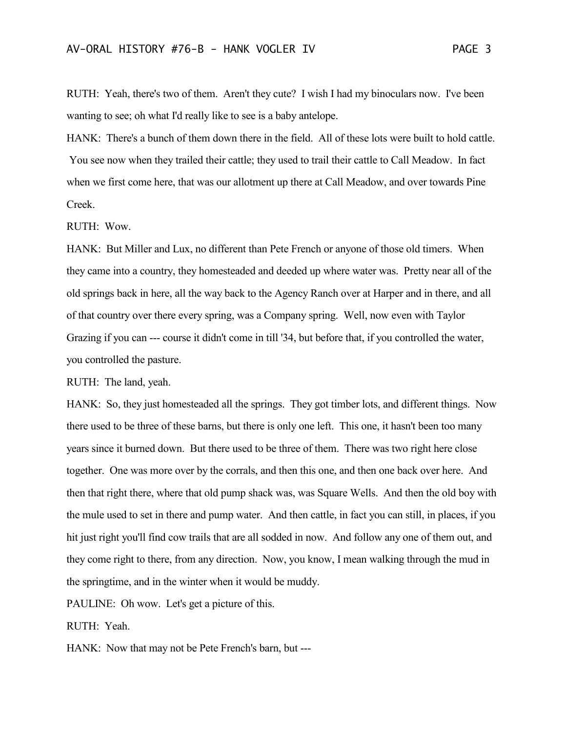RUTH: Yeah, there's two of them. Aren't they cute? I wish I had my binoculars now. I've been wanting to see; oh what I'd really like to see is a baby antelope.

HANK: There's a bunch of them down there in the field. All of these lots were built to hold cattle. You see now when they trailed their cattle; they used to trail their cattle to Call Meadow. In fact when we first come here, that was our allotment up there at Call Meadow, and over towards Pine Creek.

RUTH: Wow.

HANK: But Miller and Lux, no different than Pete French or anyone of those old timers. When they came into a country, they homesteaded and deeded up where water was. Pretty near all of the old springs back in here, all the way back to the Agency Ranch over at Harper and in there, and all of that country over there every spring, was a Company spring. Well, now even with Taylor Grazing if you can --- course it didn't come in till '34, but before that, if you controlled the water, you controlled the pasture.

RUTH: The land, yeah.

HANK: So, they just homesteaded all the springs. They got timber lots, and different things. Now there used to be three of these barns, but there is only one left. This one, it hasn't been too many years since it burned down. But there used to be three of them. There was two right here close together. One was more over by the corrals, and then this one, and then one back over here. And then that right there, where that old pump shack was, was Square Wells. And then the old boy with the mule used to set in there and pump water. And then cattle, in fact you can still, in places, if you hit just right you'll find cow trails that are all sodded in now. And follow any one of them out, and they come right to there, from any direction. Now, you know, I mean walking through the mud in the springtime, and in the winter when it would be muddy.

PAULINE: Oh wow. Let's get a picture of this.

RUTH: Yeah.

HANK: Now that may not be Pete French's barn, but ---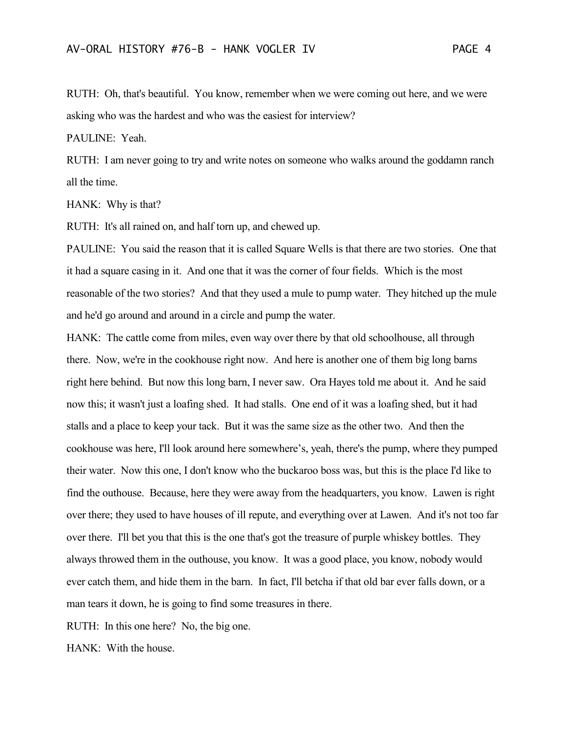RUTH: Oh, that's beautiful. You know, remember when we were coming out here, and we were asking who was the hardest and who was the easiest for interview?

PAULINE: Yeah.

RUTH: I am never going to try and write notes on someone who walks around the goddamn ranch all the time.

HANK: Why is that?

RUTH: It's all rained on, and half torn up, and chewed up.

PAULINE: You said the reason that it is called Square Wells is that there are two stories. One that it had a square casing in it. And one that it was the corner of four fields. Which is the most reasonable of the two stories? And that they used a mule to pump water. They hitched up the mule and he'd go around and around in a circle and pump the water.

HANK: The cattle come from miles, even way over there by that old schoolhouse, all through there. Now, we're in the cookhouse right now. And here is another one of them big long barns right here behind. But now this long barn, I never saw. Ora Hayes told me about it. And he said now this; it wasn't just a loafing shed. It had stalls. One end of it was a loafing shed, but it had stalls and a place to keep your tack. But it was the same size as the other two. And then the cookhouse was here, I'll look around here somewhere's, yeah, there's the pump, where they pumped their water. Now this one, I don't know who the buckaroo boss was, but this is the place I'd like to find the outhouse. Because, here they were away from the headquarters, you know. Lawen is right over there; they used to have houses of ill repute, and everything over at Lawen. And it's not too far over there. I'll bet you that this is the one that's got the treasure of purple whiskey bottles. They always throwed them in the outhouse, you know. It was a good place, you know, nobody would ever catch them, and hide them in the barn. In fact, I'll betcha if that old bar ever falls down, or a man tears it down, he is going to find some treasures in there.

RUTH: In this one here? No, the big one.

HANK: With the house.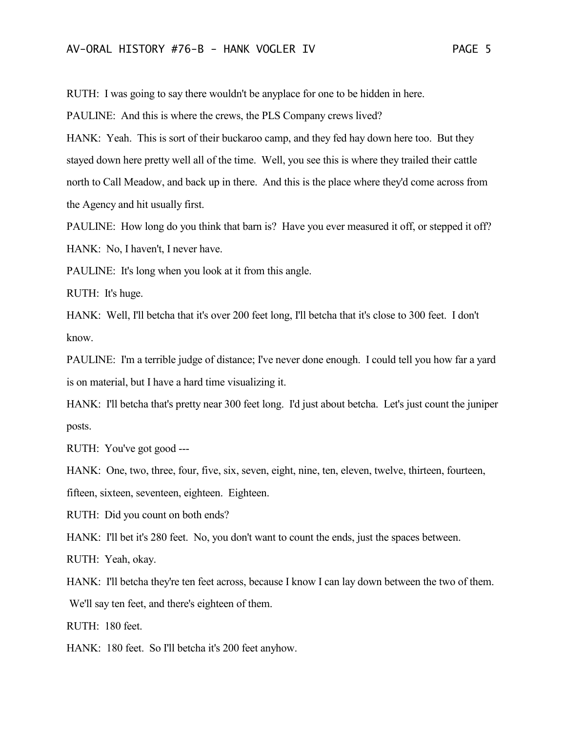RUTH: I was going to say there wouldn't be anyplace for one to be hidden in here.

PAULINE: And this is where the crews, the PLS Company crews lived?

HANK: Yeah. This is sort of their buckaroo camp, and they fed hay down here too. But they stayed down here pretty well all of the time. Well, you see this is where they trailed their cattle north to Call Meadow, and back up in there. And this is the place where they'd come across from the Agency and hit usually first.

PAULINE: How long do you think that barn is? Have you ever measured it off, or stepped it off? HANK: No, I haven't, I never have.

PAULINE: It's long when you look at it from this angle.

RUTH: It's huge.

HANK: Well, I'll betcha that it's over 200 feet long, I'll betcha that it's close to 300 feet. I don't know.

PAULINE: I'm a terrible judge of distance; I've never done enough. I could tell you how far a yard is on material, but I have a hard time visualizing it.

HANK: I'll betcha that's pretty near 300 feet long. I'd just about betcha. Let's just count the juniper posts.

RUTH: You've got good ---

HANK: One, two, three, four, five, six, seven, eight, nine, ten, eleven, twelve, thirteen, fourteen,

fifteen, sixteen, seventeen, eighteen. Eighteen.

RUTH: Did you count on both ends?

HANK: I'll bet it's 280 feet. No, you don't want to count the ends, just the spaces between.

RUTH: Yeah, okay.

HANK: I'll betcha they're ten feet across, because I know I can lay down between the two of them. We'll say ten feet, and there's eighteen of them.

RUTH: 180 feet.

HANK: 180 feet. So I'll betcha it's 200 feet anyhow.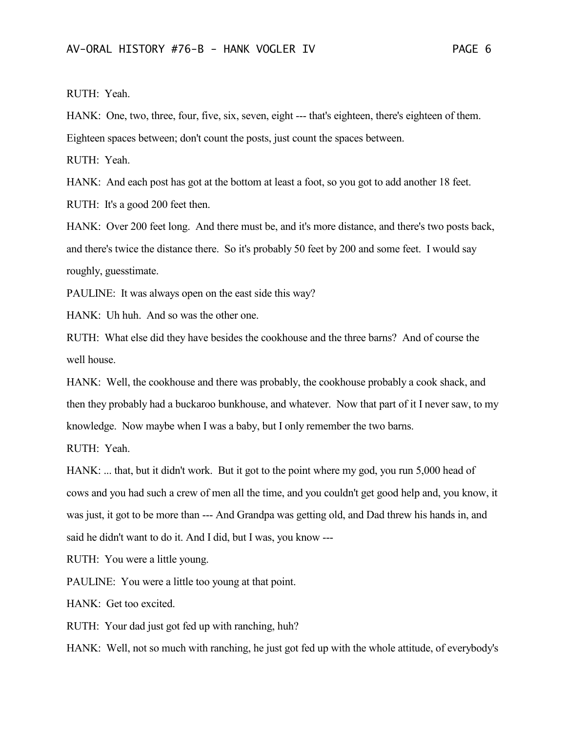RUTH: Yeah.

HANK: One, two, three, four, five, six, seven, eight --- that's eighteen, there's eighteen of them. Eighteen spaces between; don't count the posts, just count the spaces between.

RUTH: Yeah.

HANK: And each post has got at the bottom at least a foot, so you got to add another 18 feet.

RUTH: It's a good 200 feet then.

HANK: Over 200 feet long. And there must be, and it's more distance, and there's two posts back, and there's twice the distance there. So it's probably 50 feet by 200 and some feet. I would say roughly, guesstimate.

PAULINE: It was always open on the east side this way?

HANK: Uh huh. And so was the other one.

RUTH: What else did they have besides the cookhouse and the three barns? And of course the well house.

HANK: Well, the cookhouse and there was probably, the cookhouse probably a cook shack, and then they probably had a buckaroo bunkhouse, and whatever. Now that part of it I never saw, to my knowledge. Now maybe when I was a baby, but I only remember the two barns.

RUTH: Yeah.

HANK: ... that, but it didn't work. But it got to the point where my god, you run 5,000 head of cows and you had such a crew of men all the time, and you couldn't get good help and, you know, it was just, it got to be more than --- And Grandpa was getting old, and Dad threw his hands in, and said he didn't want to do it. And I did, but I was, you know ---

RUTH: You were a little young.

PAULINE: You were a little too young at that point.

HANK: Get too excited.

RUTH: Your dad just got fed up with ranching, huh?

HANK: Well, not so much with ranching, he just got fed up with the whole attitude, of everybody's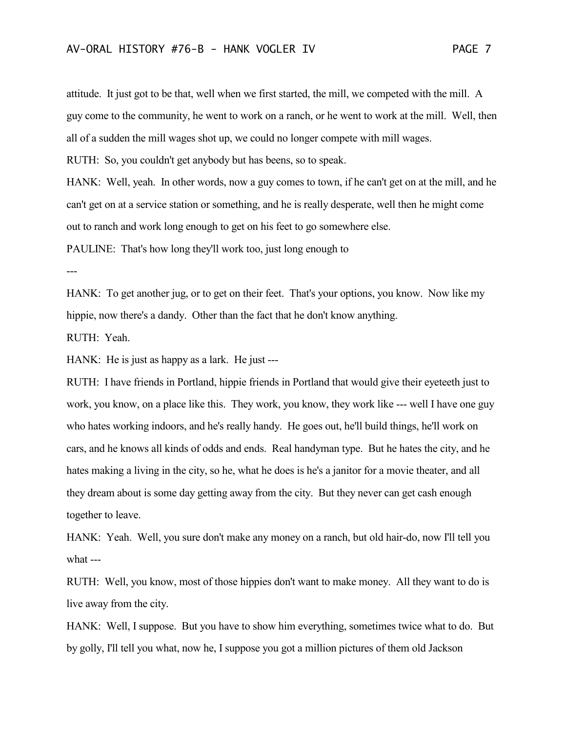attitude. It just got to be that, well when we first started, the mill, we competed with the mill. A guy come to the community, he went to work on a ranch, or he went to work at the mill. Well, then all of a sudden the mill wages shot up, we could no longer compete with mill wages.

RUTH: So, you couldn't get anybody but has beens, so to speak.

HANK: Well, yeah. In other words, now a guy comes to town, if he can't get on at the mill, and he can't get on at a service station or something, and he is really desperate, well then he might come out to ranch and work long enough to get on his feet to go somewhere else.

PAULINE: That's how long they'll work too, just long enough to

---

HANK: To get another jug, or to get on their feet. That's your options, you know. Now like my hippie, now there's a dandy. Other than the fact that he don't know anything.

RUTH: Yeah.

HANK: He is just as happy as a lark. He just ---

RUTH: I have friends in Portland, hippie friends in Portland that would give their eyeteeth just to work, you know, on a place like this. They work, you know, they work like --- well I have one guy who hates working indoors, and he's really handy. He goes out, he'll build things, he'll work on cars, and he knows all kinds of odds and ends. Real handyman type. But he hates the city, and he hates making a living in the city, so he, what he does is he's a janitor for a movie theater, and all they dream about is some day getting away from the city. But they never can get cash enough together to leave.

HANK: Yeah. Well, you sure don't make any money on a ranch, but old hair-do, now I'll tell you what ---

RUTH: Well, you know, most of those hippies don't want to make money. All they want to do is live away from the city.

HANK: Well, I suppose. But you have to show him everything, sometimes twice what to do. But by golly, I'll tell you what, now he, I suppose you got a million pictures of them old Jackson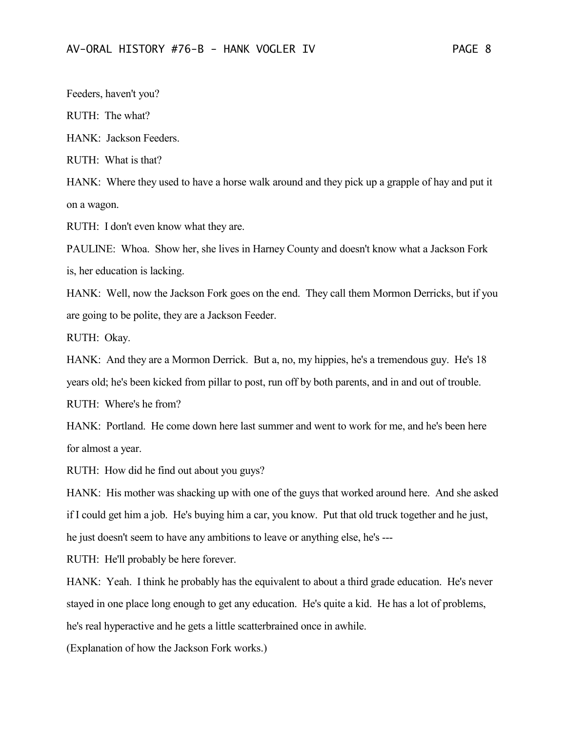Feeders, haven't you?

RUTH: The what?

HANK: Jackson Feeders.

RUTH: What is that?

HANK: Where they used to have a horse walk around and they pick up a grapple of hay and put it on a wagon.

RUTH: I don't even know what they are.

PAULINE: Whoa. Show her, she lives in Harney County and doesn't know what a Jackson Fork is, her education is lacking.

HANK: Well, now the Jackson Fork goes on the end. They call them Mormon Derricks, but if you are going to be polite, they are a Jackson Feeder.

RUTH: Okay.

HANK: And they are a Mormon Derrick. But a, no, my hippies, he's a tremendous guy. He's 18 years old; he's been kicked from pillar to post, run off by both parents, and in and out of trouble.

RUTH: Where's he from?

HANK: Portland. He come down here last summer and went to work for me, and he's been here for almost a year.

RUTH: How did he find out about you guys?

HANK: His mother was shacking up with one of the guys that worked around here. And she asked if I could get him a job. He's buying him a car, you know. Put that old truck together and he just, he just doesn't seem to have any ambitions to leave or anything else, he's ---

RUTH: He'll probably be here forever.

HANK: Yeah. I think he probably has the equivalent to about a third grade education. He's never stayed in one place long enough to get any education. He's quite a kid. He has a lot of problems, he's real hyperactive and he gets a little scatterbrained once in awhile.

(Explanation of how the Jackson Fork works.)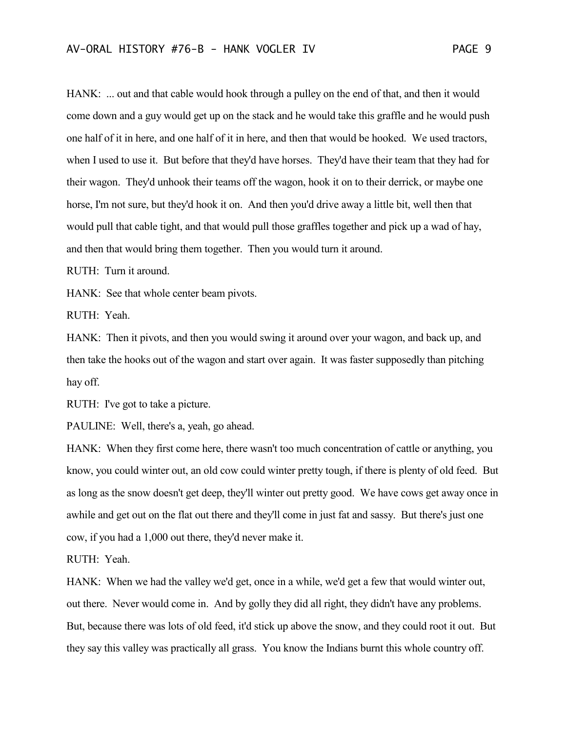HANK: ... out and that cable would hook through a pulley on the end of that, and then it would come down and a guy would get up on the stack and he would take this graffle and he would push one half of it in here, and one half of it in here, and then that would be hooked. We used tractors, when I used to use it. But before that they'd have horses. They'd have their team that they had for their wagon. They'd unhook their teams off the wagon, hook it on to their derrick, or maybe one horse, I'm not sure, but they'd hook it on. And then you'd drive away a little bit, well then that would pull that cable tight, and that would pull those graffles together and pick up a wad of hay, and then that would bring them together. Then you would turn it around.

RUTH: Turn it around.

HANK: See that whole center beam pivots.

RUTH: Yeah.

HANK: Then it pivots, and then you would swing it around over your wagon, and back up, and then take the hooks out of the wagon and start over again. It was faster supposedly than pitching hay off.

RUTH: I've got to take a picture.

PAULINE: Well, there's a, yeah, go ahead.

HANK: When they first come here, there wasn't too much concentration of cattle or anything, you know, you could winter out, an old cow could winter pretty tough, if there is plenty of old feed. But as long as the snow doesn't get deep, they'll winter out pretty good. We have cows get away once in awhile and get out on the flat out there and they'll come in just fat and sassy. But there's just one cow, if you had a 1,000 out there, they'd never make it.

RUTH: Yeah.

HANK: When we had the valley we'd get, once in a while, we'd get a few that would winter out, out there. Never would come in. And by golly they did all right, they didn't have any problems. But, because there was lots of old feed, it'd stick up above the snow, and they could root it out. But they say this valley was practically all grass. You know the Indians burnt this whole country off.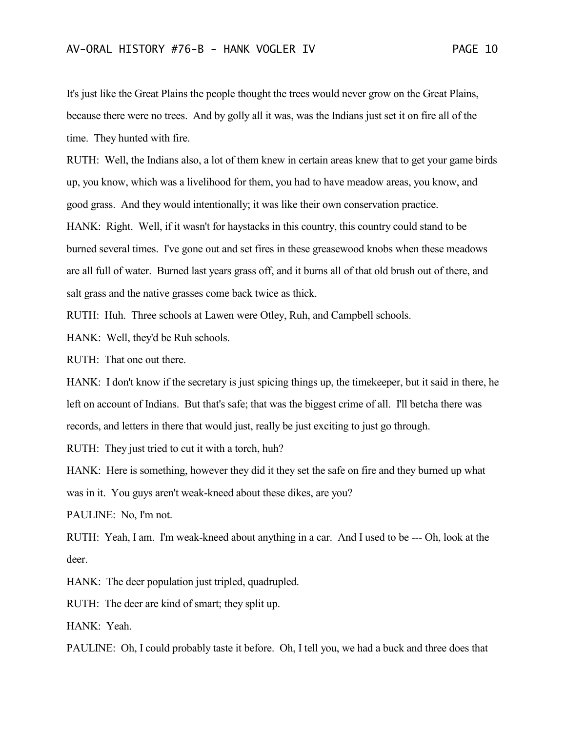It's just like the Great Plains the people thought the trees would never grow on the Great Plains, because there were no trees. And by golly all it was, was the Indians just set it on fire all of the time. They hunted with fire.

RUTH: Well, the Indians also, a lot of them knew in certain areas knew that to get your game birds up, you know, which was a livelihood for them, you had to have meadow areas, you know, and good grass. And they would intentionally; it was like their own conservation practice.

HANK: Right. Well, if it wasn't for haystacks in this country, this country could stand to be burned several times. I've gone out and set fires in these greasewood knobs when these meadows are all full of water. Burned last years grass off, and it burns all of that old brush out of there, and salt grass and the native grasses come back twice as thick.

RUTH: Huh. Three schools at Lawen were Otley, Ruh, and Campbell schools.

HANK: Well, they'd be Ruh schools.

RUTH: That one out there.

HANK: I don't know if the secretary is just spicing things up, the timekeeper, but it said in there, he left on account of Indians. But that's safe; that was the biggest crime of all. I'll betcha there was records, and letters in there that would just, really be just exciting to just go through.

RUTH: They just tried to cut it with a torch, huh?

HANK: Here is something, however they did it they set the safe on fire and they burned up what was in it. You guys aren't weak-kneed about these dikes, are you?

PAULINE: No, I'm not.

RUTH: Yeah, I am. I'm weak-kneed about anything in a car. And I used to be --- Oh, look at the deer.

HANK: The deer population just tripled, quadrupled.

RUTH: The deer are kind of smart; they split up.

HANK: Yeah.

PAULINE: Oh, I could probably taste it before. Oh, I tell you, we had a buck and three does that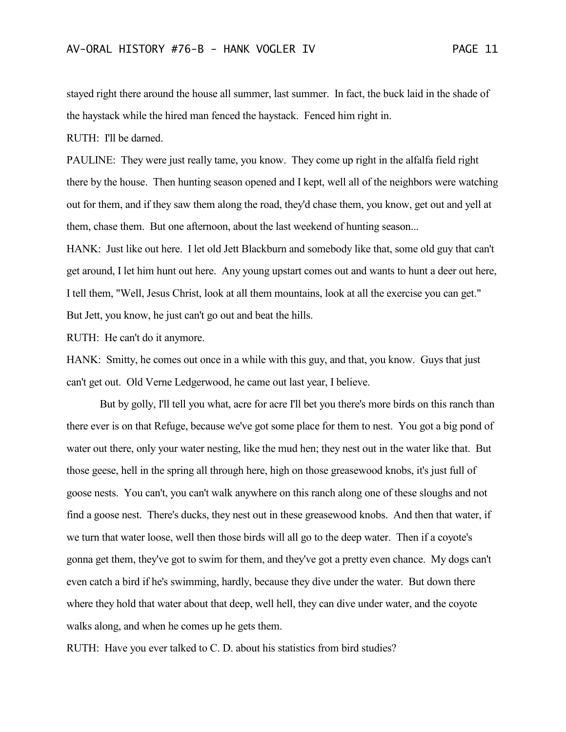stayed right there around the house all summer, last summer. In fact, the buck laid in the shade of the haystack while the hired man fenced the haystack. Fenced him right in.

RUTH: I'll be darned.

PAULINE: They were just really tame, you know. They come up right in the alfalfa field right there by the house. Then hunting season opened and I kept, well all of the neighbors were watching out for them, and if they saw them along the road, they'd chase them, you know, get out and yell at them, chase them. But one afternoon, about the last weekend of hunting season...

HANK: Just like out here. I let old Jett Blackburn and somebody like that, some old guy that can't get around, I let him hunt out here. Any young upstart comes out and wants to hunt a deer out here, I tell them, "Well, Jesus Christ, look at all them mountains, look at all the exercise you can get." But Jett, you know, he just can't go out and beat the hills.

RUTH: He can't do it anymore.

HANK: Smitty, he comes out once in a while with this guy, and that, you know. Guys that just can't get out. Old Verne Ledgerwood, he came out last year, I believe.

But by golly, I'll tell you what, acre for acre I'll bet you there's more birds on this ranch than there ever is on that Refuge, because we've got some place for them to nest. You got a big pond of water out there, only your water nesting, like the mud hen; they nest out in the water like that. But those geese, hell in the spring all through here, high on those greasewood knobs, it's just full of goose nests. You can't, you can't walk anywhere on this ranch along one of these sloughs and not find a goose nest. There's ducks, they nest out in these greasewood knobs. And then that water, if we turn that water loose, well then those birds will all go to the deep water. Then if a coyote's gonna get them, they've got to swim for them, and they've got a pretty even chance. My dogs can't even catch a bird if he's swimming, hardly, because they dive under the water. But down there where they hold that water about that deep, well hell, they can dive under water, and the coyote walks along, and when he comes up he gets them.

RUTH: Have you ever talked to C. D. about his statistics from bird studies?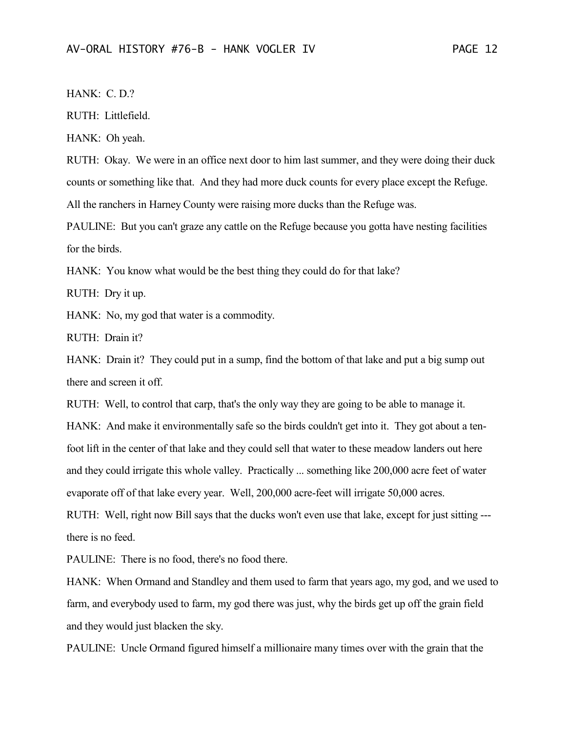HANK: C. D.?

RUTH: Littlefield.

HANK: Oh yeah.

RUTH: Okay. We were in an office next door to him last summer, and they were doing their duck counts or something like that. And they had more duck counts for every place except the Refuge. All the ranchers in Harney County were raising more ducks than the Refuge was.

PAULINE: But you can't graze any cattle on the Refuge because you gotta have nesting facilities for the birds.

HANK: You know what would be the best thing they could do for that lake?

RUTH: Dry it up.

HANK: No, my god that water is a commodity.

RUTH: Drain it?

HANK: Drain it? They could put in a sump, find the bottom of that lake and put a big sump out there and screen it off.

RUTH: Well, to control that carp, that's the only way they are going to be able to manage it.

HANK: And make it environmentally safe so the birds couldn't get into it. They got about a tenfoot lift in the center of that lake and they could sell that water to these meadow landers out here and they could irrigate this whole valley. Practically ... something like 200,000 acre feet of water evaporate off of that lake every year. Well, 200,000 acre-feet will irrigate 50,000 acres.

RUTH: Well, right now Bill says that the ducks won't even use that lake, except for just sitting -- there is no feed.

PAULINE: There is no food, there's no food there.

HANK: When Ormand and Standley and them used to farm that years ago, my god, and we used to farm, and everybody used to farm, my god there was just, why the birds get up off the grain field and they would just blacken the sky.

PAULINE: Uncle Ormand figured himself a millionaire many times over with the grain that the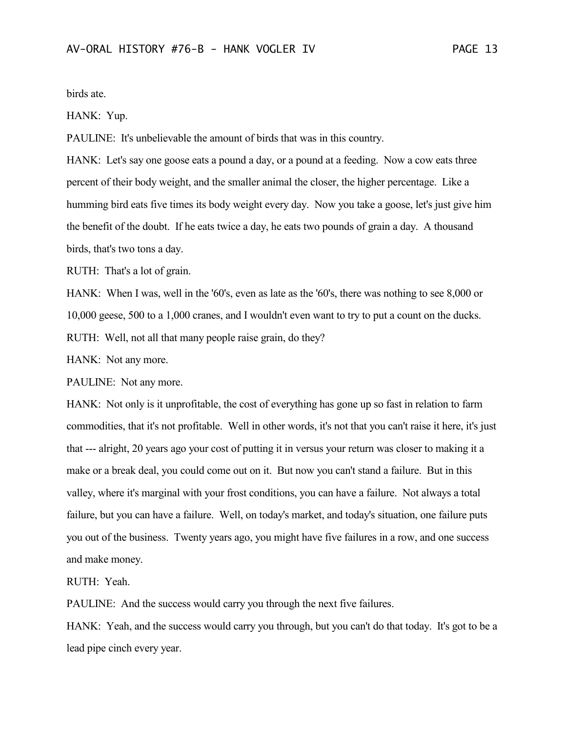birds ate.

HANK: Yup.

PAULINE: It's unbelievable the amount of birds that was in this country.

HANK: Let's say one goose eats a pound a day, or a pound at a feeding. Now a cow eats three percent of their body weight, and the smaller animal the closer, the higher percentage. Like a humming bird eats five times its body weight every day. Now you take a goose, let's just give him the benefit of the doubt. If he eats twice a day, he eats two pounds of grain a day. A thousand birds, that's two tons a day.

RUTH: That's a lot of grain.

HANK: When I was, well in the '60's, even as late as the '60's, there was nothing to see 8,000 or 10,000 geese, 500 to a 1,000 cranes, and I wouldn't even want to try to put a count on the ducks. RUTH: Well, not all that many people raise grain, do they?

HANK: Not any more.

PAULINE: Not any more.

HANK: Not only is it unprofitable, the cost of everything has gone up so fast in relation to farm commodities, that it's not profitable. Well in other words, it's not that you can't raise it here, it's just that --- alright, 20 years ago your cost of putting it in versus your return was closer to making it a make or a break deal, you could come out on it. But now you can't stand a failure. But in this valley, where it's marginal with your frost conditions, you can have a failure. Not always a total failure, but you can have a failure. Well, on today's market, and today's situation, one failure puts you out of the business. Twenty years ago, you might have five failures in a row, and one success and make money.

RUTH: Yeah.

PAULINE: And the success would carry you through the next five failures.

HANK: Yeah, and the success would carry you through, but you can't do that today. It's got to be a lead pipe cinch every year.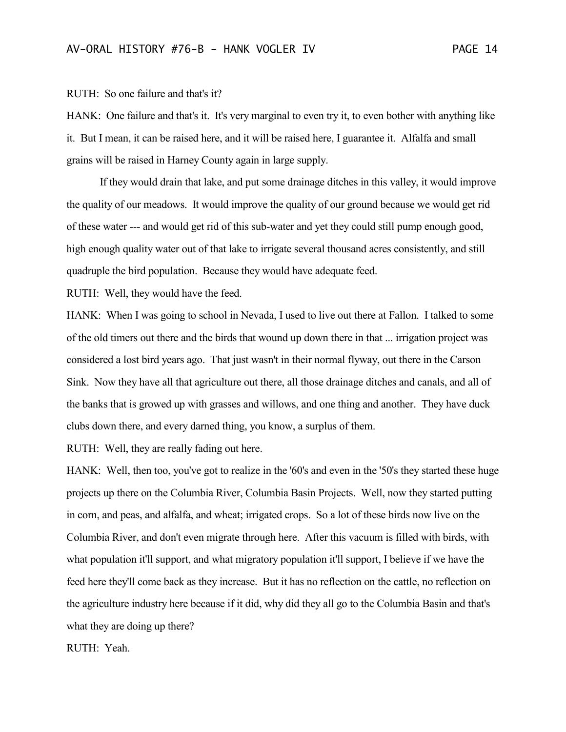RUTH: So one failure and that's it?

HANK: One failure and that's it. It's very marginal to even try it, to even bother with anything like it. But I mean, it can be raised here, and it will be raised here, I guarantee it. Alfalfa and small grains will be raised in Harney County again in large supply.

If they would drain that lake, and put some drainage ditches in this valley, it would improve the quality of our meadows. It would improve the quality of our ground because we would get rid of these water --- and would get rid of this sub-water and yet they could still pump enough good, high enough quality water out of that lake to irrigate several thousand acres consistently, and still quadruple the bird population. Because they would have adequate feed.

RUTH: Well, they would have the feed.

HANK: When I was going to school in Nevada, I used to live out there at Fallon. I talked to some of the old timers out there and the birds that wound up down there in that ... irrigation project was considered a lost bird years ago. That just wasn't in their normal flyway, out there in the Carson Sink. Now they have all that agriculture out there, all those drainage ditches and canals, and all of the banks that is growed up with grasses and willows, and one thing and another. They have duck clubs down there, and every darned thing, you know, a surplus of them.

RUTH: Well, they are really fading out here.

HANK: Well, then too, you've got to realize in the '60's and even in the '50's they started these huge projects up there on the Columbia River, Columbia Basin Projects. Well, now they started putting in corn, and peas, and alfalfa, and wheat; irrigated crops. So a lot of these birds now live on the Columbia River, and don't even migrate through here. After this vacuum is filled with birds, with what population it'll support, and what migratory population it'll support, I believe if we have the feed here they'll come back as they increase. But it has no reflection on the cattle, no reflection on the agriculture industry here because if it did, why did they all go to the Columbia Basin and that's what they are doing up there?

RUTH: Yeah.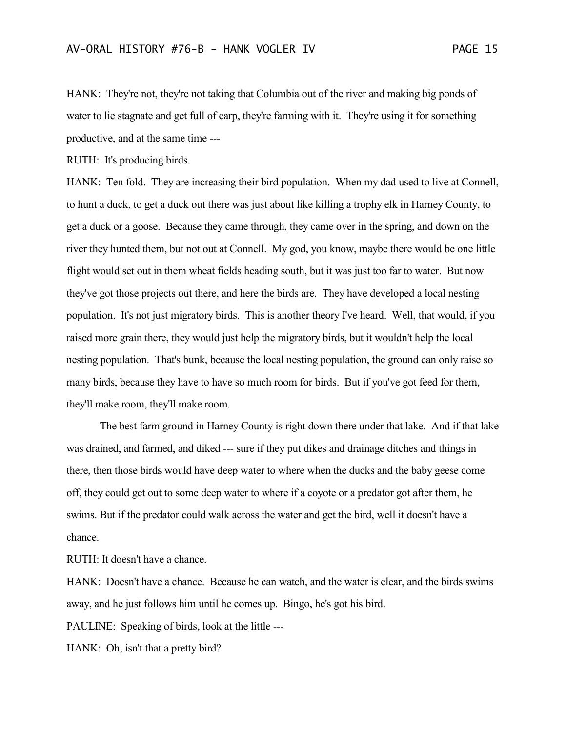HANK: They're not, they're not taking that Columbia out of the river and making big ponds of water to lie stagnate and get full of carp, they're farming with it. They're using it for something productive, and at the same time ---

RUTH: It's producing birds.

HANK: Ten fold. They are increasing their bird population. When my dad used to live at Connell, to hunt a duck, to get a duck out there was just about like killing a trophy elk in Harney County, to get a duck or a goose. Because they came through, they came over in the spring, and down on the river they hunted them, but not out at Connell. My god, you know, maybe there would be one little flight would set out in them wheat fields heading south, but it was just too far to water. But now they've got those projects out there, and here the birds are. They have developed a local nesting population. It's not just migratory birds. This is another theory I've heard. Well, that would, if you raised more grain there, they would just help the migratory birds, but it wouldn't help the local nesting population. That's bunk, because the local nesting population, the ground can only raise so many birds, because they have to have so much room for birds. But if you've got feed for them, they'll make room, they'll make room.

The best farm ground in Harney County is right down there under that lake. And if that lake was drained, and farmed, and diked --- sure if they put dikes and drainage ditches and things in there, then those birds would have deep water to where when the ducks and the baby geese come off, they could get out to some deep water to where if a coyote or a predator got after them, he swims. But if the predator could walk across the water and get the bird, well it doesn't have a chance.

RUTH: It doesn't have a chance.

HANK: Doesn't have a chance. Because he can watch, and the water is clear, and the birds swims away, and he just follows him until he comes up. Bingo, he's got his bird.

PAULINE: Speaking of birds, look at the little ---

HANK: Oh, isn't that a pretty bird?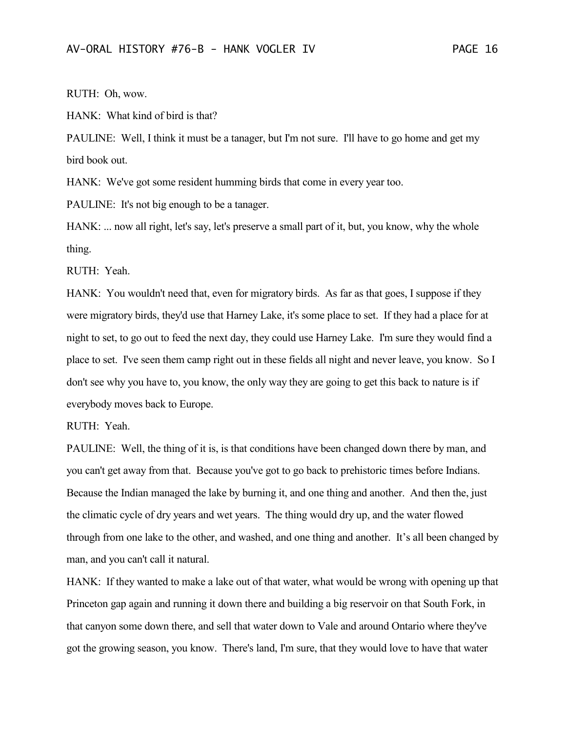RUTH: Oh, wow.

HANK: What kind of bird is that?

PAULINE: Well, I think it must be a tanager, but I'm not sure. I'll have to go home and get my bird book out.

HANK: We've got some resident humming birds that come in every year too.

PAULINE: It's not big enough to be a tanager.

HANK: ... now all right, let's say, let's preserve a small part of it, but, you know, why the whole thing.

RUTH: Yeah.

HANK: You wouldn't need that, even for migratory birds. As far as that goes, I suppose if they were migratory birds, they'd use that Harney Lake, it's some place to set. If they had a place for at night to set, to go out to feed the next day, they could use Harney Lake. I'm sure they would find a place to set. I've seen them camp right out in these fields all night and never leave, you know. So I don't see why you have to, you know, the only way they are going to get this back to nature is if everybody moves back to Europe.

RUTH: Yeah.

PAULINE: Well, the thing of it is, is that conditions have been changed down there by man, and you can't get away from that. Because you've got to go back to prehistoric times before Indians. Because the Indian managed the lake by burning it, and one thing and another. And then the, just the climatic cycle of dry years and wet years. The thing would dry up, and the water flowed through from one lake to the other, and washed, and one thing and another. It's all been changed by man, and you can't call it natural.

HANK: If they wanted to make a lake out of that water, what would be wrong with opening up that Princeton gap again and running it down there and building a big reservoir on that South Fork, in that canyon some down there, and sell that water down to Vale and around Ontario where they've got the growing season, you know. There's land, I'm sure, that they would love to have that water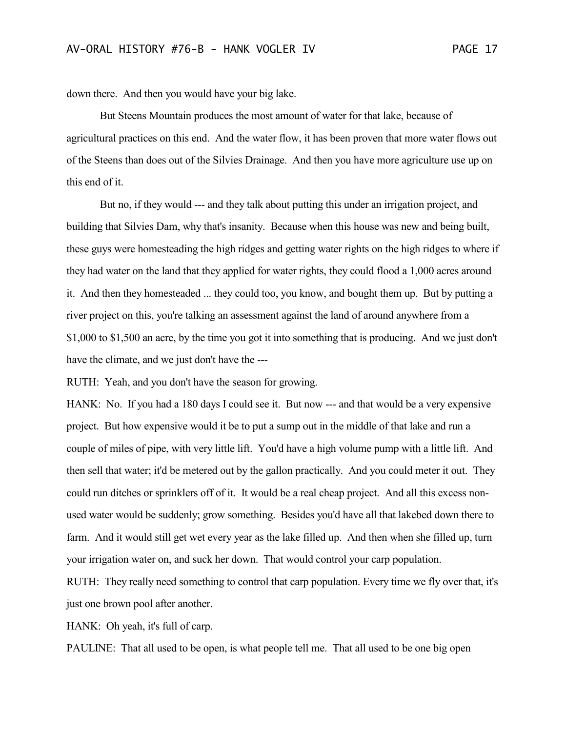down there. And then you would have your big lake.

But Steens Mountain produces the most amount of water for that lake, because of agricultural practices on this end. And the water flow, it has been proven that more water flows out of the Steens than does out of the Silvies Drainage. And then you have more agriculture use up on this end of it.

But no, if they would --- and they talk about putting this under an irrigation project, and building that Silvies Dam, why that's insanity. Because when this house was new and being built, these guys were homesteading the high ridges and getting water rights on the high ridges to where if they had water on the land that they applied for water rights, they could flood a 1,000 acres around it. And then they homesteaded ... they could too, you know, and bought them up. But by putting a river project on this, you're talking an assessment against the land of around anywhere from a \$1,000 to \$1,500 an acre, by the time you got it into something that is producing. And we just don't have the climate, and we just don't have the ---

RUTH: Yeah, and you don't have the season for growing.

HANK: No. If you had a 180 days I could see it. But now --- and that would be a very expensive project. But how expensive would it be to put a sump out in the middle of that lake and run a couple of miles of pipe, with very little lift. You'd have a high volume pump with a little lift. And then sell that water; it'd be metered out by the gallon practically. And you could meter it out. They could run ditches or sprinklers off of it. It would be a real cheap project. And all this excess nonused water would be suddenly; grow something. Besides you'd have all that lakebed down there to farm. And it would still get wet every year as the lake filled up. And then when she filled up, turn your irrigation water on, and suck her down. That would control your carp population.

RUTH: They really need something to control that carp population. Every time we fly over that, it's just one brown pool after another.

HANK: Oh yeah, it's full of carp.

PAULINE: That all used to be open, is what people tell me. That all used to be one big open